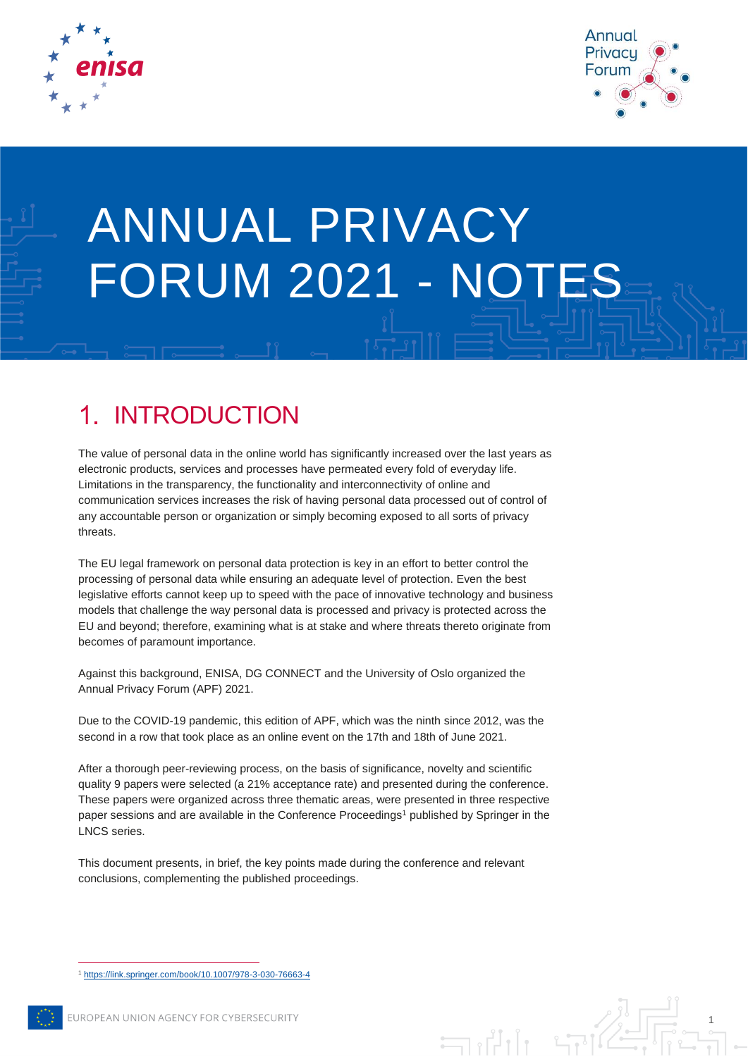



1

# ANNUAL PRIVACY FORUM 2021 - NOTES

### INTRODUCTION  $\mathbf 1$

The value of personal data in the online world has significantly increased over the last years as electronic products, services and processes have permeated every fold of everyday life. Limitations in the transparency, the functionality and interconnectivity of online and communication services increases the risk of having personal data processed out of control of any accountable person or organization or simply becoming exposed to all sorts of privacy threats.

The EU legal framework on personal data protection is key in an effort to better control the processing of personal data while ensuring an adequate level of protection. Even the best legislative efforts cannot keep up to speed with the pace of innovative technology and business models that challenge the way personal data is processed and privacy is protected across the EU and beyond; therefore, examining what is at stake and where threats thereto originate from becomes of paramount importance.

Against this background, ENISA, DG CONNECT and the University of Oslo organized the Annual Privacy Forum (APF) 2021.

Due to the COVID-19 pandemic, this edition of APF, which was the ninth since 2012, was the second in a row that took place as an online event on the 17th and 18th of June 2021.

After a thorough peer-reviewing process, on the basis of significance, novelty and scientific quality 9 papers were selected (a 21% acceptance rate) and presented during the conference. These papers were organized across three thematic areas, were presented in three respective paper sessions and are available in the Conference Proceedings<sup>1</sup> published by Springer in the LNCS series.

This document presents, in brief, the key points made during the conference and relevant conclusions, complementing the published proceedings.

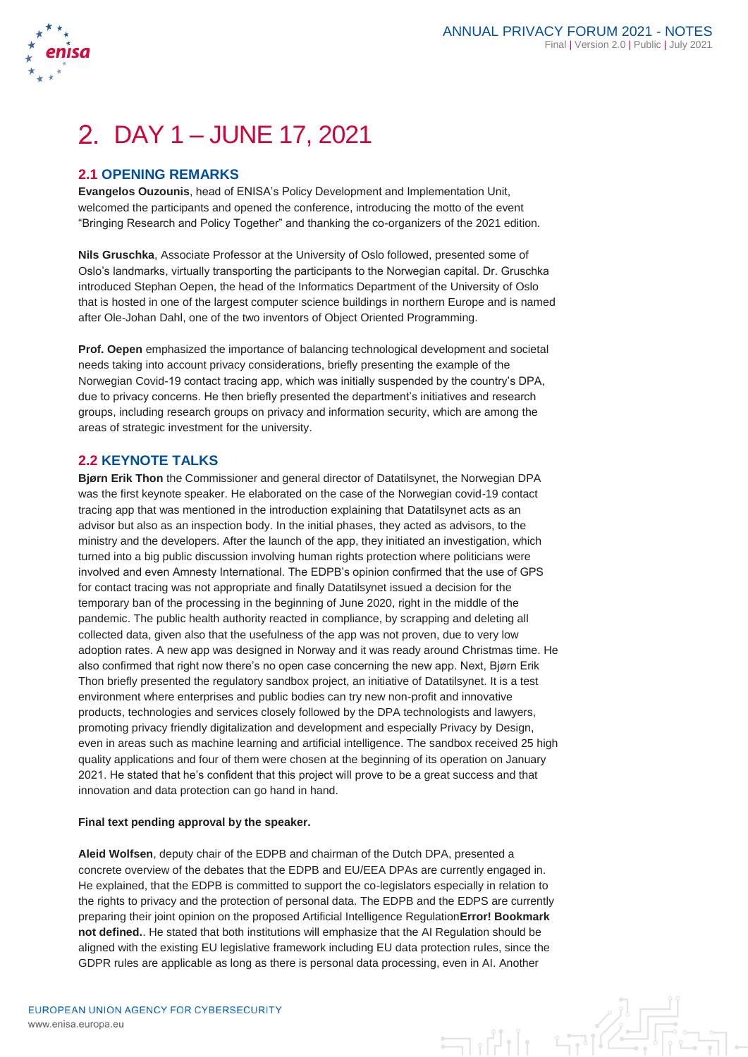

# DAY 1 – JUNE 17, 2021

### **2.1 OPENING REMARKS**

**Evangelos Ouzounis**, head of ENISA's Policy Development and Implementation Unit, welcomed the participants and opened the conference, introducing the motto of the event "Bringing Research and Policy Together" and thanking the co-organizers of the 2021 edition.

**Nils Gruschka**, Associate Professor at the University of Oslo followed, presented some of Oslo's landmarks, virtually transporting the participants to the Norwegian capital. Dr. Gruschka introduced Stephan Oepen, the head of the Informatics Department of the University of Oslo that is hosted in one of the largest computer science buildings in northern Europe and is named after Ole-Johan Dahl, one of the two inventors of Object Oriented Programming.

**Prof. Oepen** emphasized the importance of balancing technological development and societal needs taking into account privacy considerations, briefly presenting the example of the Norwegian Covid-19 contact tracing app, which was initially suspended by the country's DPA, due to privacy concerns. He then briefly presented the department's initiatives and research groups, including research groups on privacy and information security, which are among the areas of strategic investment for the university.

#### **2.2 KEYNOTE TALKS**

**Bjørn Erik Thon** the Commissioner and general director of Datatilsynet, the Norwegian DPA was the first keynote speaker. He elaborated on the case of the Norwegian covid-19 contact tracing app that was mentioned in the introduction explaining that Datatilsynet acts as an advisor but also as an inspection body. In the initial phases, they acted as advisors, to the ministry and the developers. After the launch of the app, they initiated an investigation, which turned into a big public discussion involving human rights protection where politicians were involved and even Amnesty International. The EDPB's opinion confirmed that the use of GPS for contact tracing was not appropriate and finally Datatilsynet issued a decision for the temporary ban of the processing in the beginning of June 2020, right in the middle of the pandemic. The public health authority reacted in compliance, by scrapping and deleting all collected data, given also that the usefulness of the app was not proven, due to very low adoption rates. A new app was designed in Norway and it was ready around Christmas time. He also confirmed that right now there's no open case concerning the new app. Next, Bjørn Erik Thon briefly presented the regulatory sandbox project, an initiative of Datatilsynet. It is a test environment where enterprises and public bodies can try new non-profit and innovative products, technologies and services closely followed by the DPA technologists and lawyers, promoting privacy friendly digitalization and development and especially Privacy by Design, even in areas such as machine learning and artificial intelligence. The sandbox received 25 high quality applications and four of them were chosen at the beginning of its operation on January 2021. He stated that he's confident that this project will prove to be a great success and that innovation and data protection can go hand in hand.

#### **Final text pending approval by the speaker.**

**Aleid Wolfsen**, deputy chair of the EDPB and chairman of the Dutch DPA, presented a concrete overview of the debates that the EDPB and EU/EEA DPAs are currently engaged in. He explained, that the EDPB is committed to support the co-legislators especially in relation to the rights to privacy and the protection of personal data. The EDPB and the EDPS are currently preparing their joint opinion on the proposed Artificial Intelligence Regulation**Error! Bookmark not defined.**. He stated that both institutions will emphasize that the AI Regulation should be aligned with the existing EU legislative framework including EU data protection rules, since the GDPR rules are applicable as long as there is personal data processing, even in AI. Another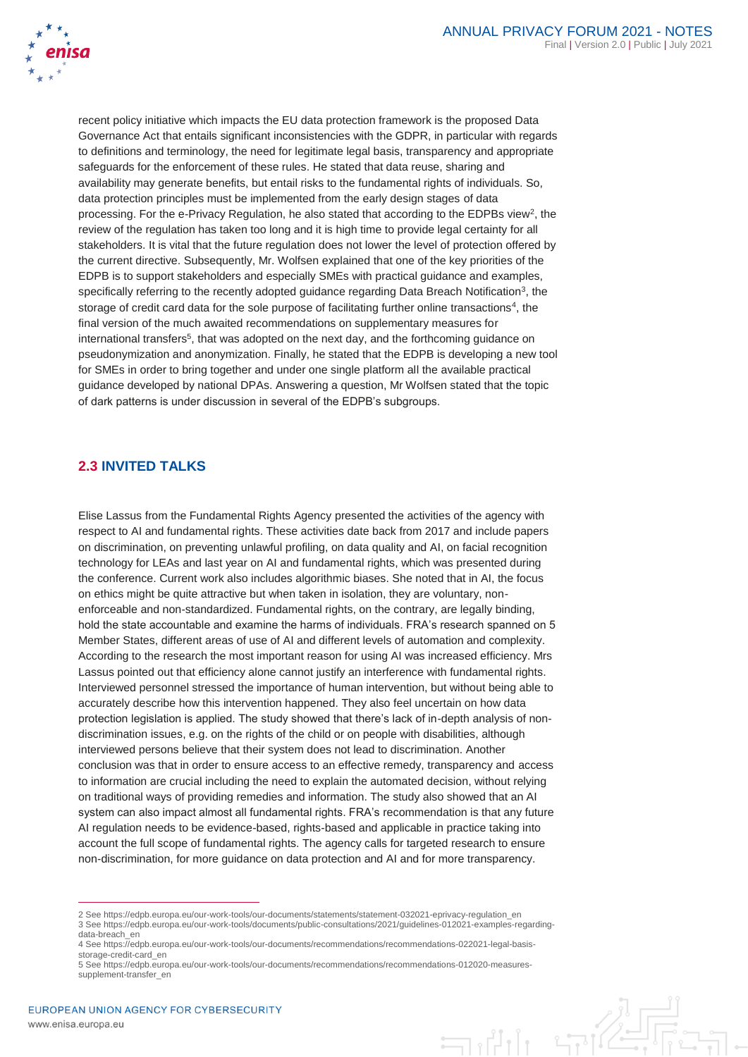

recent policy initiative which impacts the EU data protection framework is the proposed Data Governance Act that entails significant inconsistencies with the GDPR, in particular with regards to definitions and terminology, the need for legitimate legal basis, transparency and appropriate safeguards for the enforcement of these rules. He stated that data reuse, sharing and availability may generate benefits, but entail risks to the fundamental rights of individuals. So, data protection principles must be implemented from the early design stages of data processing. For the e-Privacy Regulation, he also stated that according to the EDPBs view<sup>2</sup>, the review of the regulation has taken too long and it is high time to provide legal certainty for all stakeholders. It is vital that the future regulation does not lower the level of protection offered by the current directive. Subsequently, Mr. Wolfsen explained that one of the key priorities of the EDPB is to support stakeholders and especially SMEs with practical guidance and examples, specifically referring to the recently adopted guidance regarding Data Breach Notification<sup>3</sup>, the storage of credit card data for the sole purpose of facilitating further online transactions<sup>4</sup>, the final version of the much awaited recommendations on supplementary measures for international transfers<sup>5</sup>, that was adopted on the next day, and the forthcoming guidance on pseudonymization and anonymization. Finally, he stated that the EDPB is developing a new tool for SMEs in order to bring together and under one single platform all the available practical guidance developed by national DPAs. Answering a question, Mr Wolfsen stated that the topic of dark patterns is under discussion in several of the EDPB's subgroups.

### **2.3 INVITED TALKS**

Elise Lassus from the Fundamental Rights Agency presented the activities of the agency with respect to AI and fundamental rights. These activities date back from 2017 and include papers on discrimination, on preventing unlawful profiling, on data quality and AI, on facial recognition technology for LEAs and last year on AI and fundamental rights, which was presented during the conference. Current work also includes algorithmic biases. She noted that in AI, the focus on ethics might be quite attractive but when taken in isolation, they are voluntary, nonenforceable and non-standardized. Fundamental rights, on the contrary, are legally binding, hold the state accountable and examine the harms of individuals. FRA's research spanned on 5 Member States, different areas of use of AI and different levels of automation and complexity. According to the research the most important reason for using AI was increased efficiency. Mrs Lassus pointed out that efficiency alone cannot justify an interference with fundamental rights. Interviewed personnel stressed the importance of human intervention, but without being able to accurately describe how this intervention happened. They also feel uncertain on how data protection legislation is applied. The study showed that there's lack of in-depth analysis of nondiscrimination issues, e.g. on the rights of the child or on people with disabilities, although interviewed persons believe that their system does not lead to discrimination. Another conclusion was that in order to ensure access to an effective remedy, transparency and access to information are crucial including the need to explain the automated decision, without relying on traditional ways of providing remedies and information. The study also showed that an AI system can also impact almost all fundamental rights. FRA's recommendation is that any future AI regulation needs to be evidence-based, rights-based and applicable in practice taking into account the full scope of fundamental rights. The agency calls for targeted research to ensure non-discrimination, for more guidance on data protection and AI and for more transparency.

<sup>2</sup> See https://edpb.europa.eu/our-work-tools/our-documents/statements/statement-032021-eprivacy-regulation\_en 3 See https://edpb.europa.eu/our-work-tools/documents/public-consultations/2021/guidelines-012021-examples-regardingdata-breach\_en

<sup>4</sup> See https://edpb.europa.eu/our-work-tools/our-documents/recommendations/recommendations-022021-legal-basisstorage-credit-card\_en

<sup>5</sup> See https://edpb.europa.eu/our-work-tools/our-documents/recommendations/recommendations-012020-measuressupplement-transfer\_en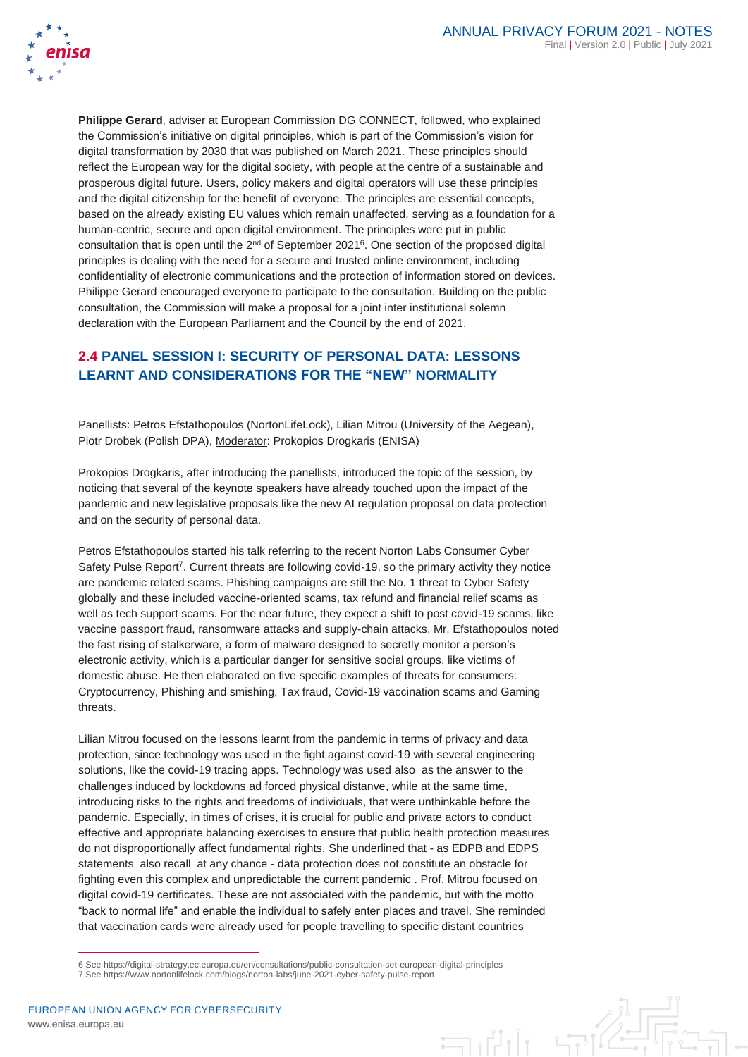

**Philippe Gerard**, adviser at European Commission DG CONNECT, followed, who explained the Commission's initiative on digital principles, which is part of the Commission's vision for digital transformation by 2030 that was published on March 2021. These principles should reflect the European way for the digital society, with people at the centre of a sustainable and prosperous digital future. Users, policy makers and digital operators will use these principles and the digital citizenship for the benefit of everyone. The principles are essential concepts, based on the already existing EU values which remain unaffected, serving as a foundation for a human-centric, secure and open digital environment. The principles were put in public consultation that is open until the  $2<sup>nd</sup>$  of September 2021<sup>6</sup>. One section of the proposed digital principles is dealing with the need for a secure and trusted online environment, including confidentiality of electronic communications and the protection of information stored on devices. Philippe Gerard encouraged everyone to participate to the consultation. Building on the public consultation, the Commission will make a proposal for a joint inter institutional solemn declaration with the European Parliament and the Council by the end of 2021.

## **2.4 PANEL SESSION I: SECURITY OF PERSONAL DATA: LESSONS LEARNT AND CONSIDERATIONS FOR THE "NEW" NORMALITY**

Panellists: Petros Efstathopoulos (NortonLifeLock), Lilian Mitrou (University of the Aegean), Piotr Drobek (Polish DPA), Moderator: Prokopios Drogkaris (ENISA)

Prokopios Drogkaris, after introducing the panellists, introduced the topic of the session, by noticing that several of the keynote speakers have already touched upon the impact of the pandemic and new legislative proposals like the new AI regulation proposal on data protection and on the security of personal data.

Petros Efstathopoulos started his talk referring to the recent Norton Labs Consumer Cyber Safety Pulse Report<sup>7</sup>. Current threats are following covid-19, so the primary activity they notice are pandemic related scams. Phishing campaigns are still the No. 1 threat to Cyber Safety globally and these included vaccine-oriented scams, tax refund and financial relief scams as well as tech support scams. For the near future, they expect a shift to post covid-19 scams, like vaccine passport fraud, ransomware attacks and supply-chain attacks. Mr. Efstathopoulos noted the fast rising of stalkerware, a form of malware designed to secretly monitor a person's electronic activity, which is a particular danger for sensitive social groups, like victims of domestic abuse. He then elaborated on five specific examples of threats for consumers: Cryptocurrency, Phishing and smishing, Tax fraud, Covid-19 vaccination scams and Gaming threats.

Lilian Mitrou focused on the lessons learnt from the pandemic in terms of privacy and data protection, since technology was used in the fight against covid-19 with several engineering solutions, like the covid-19 tracing apps. Τechnology was used also as the answer to the challenges induced by lockdowns ad forced physical distanve, while at the same time, introducing risks to the rights and freedoms of individuals, that were unthinkable before the pandemic. Especially, in times of crises, it is crucial for public and private actors to conduct effective and appropriate balancing exercises to ensure that public health protection measures do not disproportionally affect fundamental rights. She underlined that - as EDPB and EDPS statements also recall at any chance - data protection does not constitute an obstacle for fighting even this complex and unpredictable the current pandemic . Prof. Mitrou focused on digital covid-19 certificates. These are not associated with the pandemic, but with the motto "back to normal life" and enable the individual to safely enter places and travel. She reminded that vaccination cards were already used for people travelling to specific distant countries

<sup>6</sup> See https://digital-strategy.ec.europa.eu/en/consultations/public-consultation-set-european-digital-principles

<sup>7</sup> See https://www.nortonlifelock.com/blogs/norton-labs/june-2021-cyber-safety-pulse-report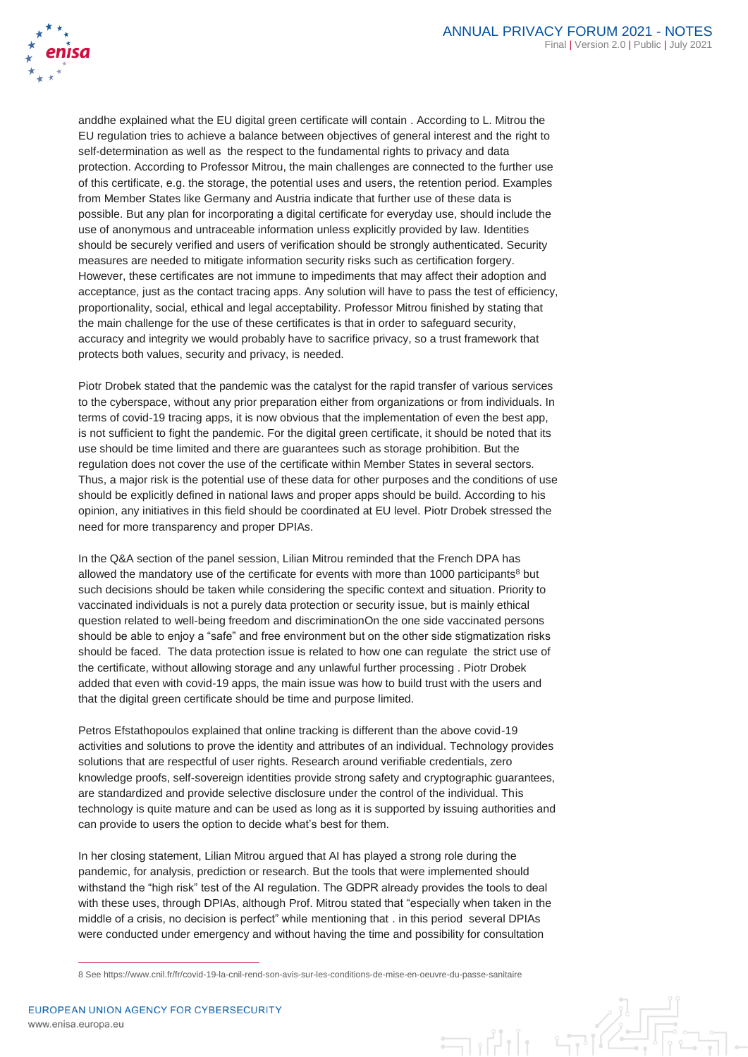

anddhe explained what the EU digital green certificate will contain . According to L. Mitrou the EU regulation tries to achieve a balance between objectives of general interest and the right to self-determination as well as the respect to the fundamental rights to privacy and data protection. According to Professor Mitrou, the main challenges are connected to the further use of this certificate, e.g. the storage, the potential uses and users, the retention period. Examples from Member States like Germany and Austria indicate that further use of these data is possible. But any plan for incorporating a digital certificate for everyday use, should include the use of anonymous and untraceable information unless explicitly provided by law. Identities should be securely verified and users of verification should be strongly authenticated. Security measures are needed to mitigate information security risks such as certification forgery. However, these certificates are not immune to impediments that may affect their adoption and acceptance, just as the contact tracing apps. Any solution will have to pass the test of efficiency, proportionality, social, ethical and legal acceptability. Professor Mitrou finished by stating that the main challenge for the use of these certificates is that in order to safeguard security, accuracy and integrity we would probably have to sacrifice privacy, so a trust framework that protects both values, security and privacy, is needed.

Piotr Drobek stated that the pandemic was the catalyst for the rapid transfer of various services to the cyberspace, without any prior preparation either from organizations or from individuals. In terms of covid-19 tracing apps, it is now obvious that the implementation of even the best app, is not sufficient to fight the pandemic. For the digital green certificate, it should be noted that its use should be time limited and there are guarantees such as storage prohibition. But the regulation does not cover the use of the certificate within Member States in several sectors. Thus, a major risk is the potential use of these data for other purposes and the conditions of use should be explicitly defined in national laws and proper apps should be build. According to his opinion, any initiatives in this field should be coordinated at EU level. Piotr Drobek stressed the need for more transparency and proper DPIAs.

In the Q&A section of the panel session, Lilian Mitrou reminded that the French DPA has allowed the mandatory use of the certificate for events with more than 1000 participants<sup>8</sup> but such decisions should be taken while considering the specific context and situation. Priority to vaccinated individuals is not a purely data protection or security issue, but is mainly ethical question related to well-being freedom and discriminationOn the one side vaccinated persons should be able to enjoy a "safe" and free environment but on the other side stigmatization risks should be faced. The data protection issue is related to how one can regulate the strict use of the certificate, without allowing storage and any unlawful further processing . Piotr Drobek added that even with covid-19 apps, the main issue was how to build trust with the users and that the digital green certificate should be time and purpose limited.

Petros Efstathopoulos explained that online tracking is different than the above covid-19 activities and solutions to prove the identity and attributes of an individual. Technology provides solutions that are respectful of user rights. Research around verifiable credentials, zero knowledge proofs, self-sovereign identities provide strong safety and cryptographic guarantees, are standardized and provide selective disclosure under the control of the individual. This technology is quite mature and can be used as long as it is supported by issuing authorities and can provide to users the option to decide what's best for them.

In her closing statement, Lilian Mitrou argued that AI has played a strong role during the pandemic, for analysis, prediction or research. But the tools that were implemented should withstand the "high risk" test of the AI regulation. The GDPR already provides the tools to deal with these uses, through DPIAs, although Prof. Mitrou stated that "especially when taken in the middle of a crisis, no decision is perfect" while mentioning that . in this period several DPIAs were conducted under emergency and without having the time and possibility for consultation

<sup>8</sup> See https://www.cnil.fr/fr/covid-19-la-cnil-rend-son-avis-sur-les-conditions-de-mise-en-oeuvre-du-passe-sanitaire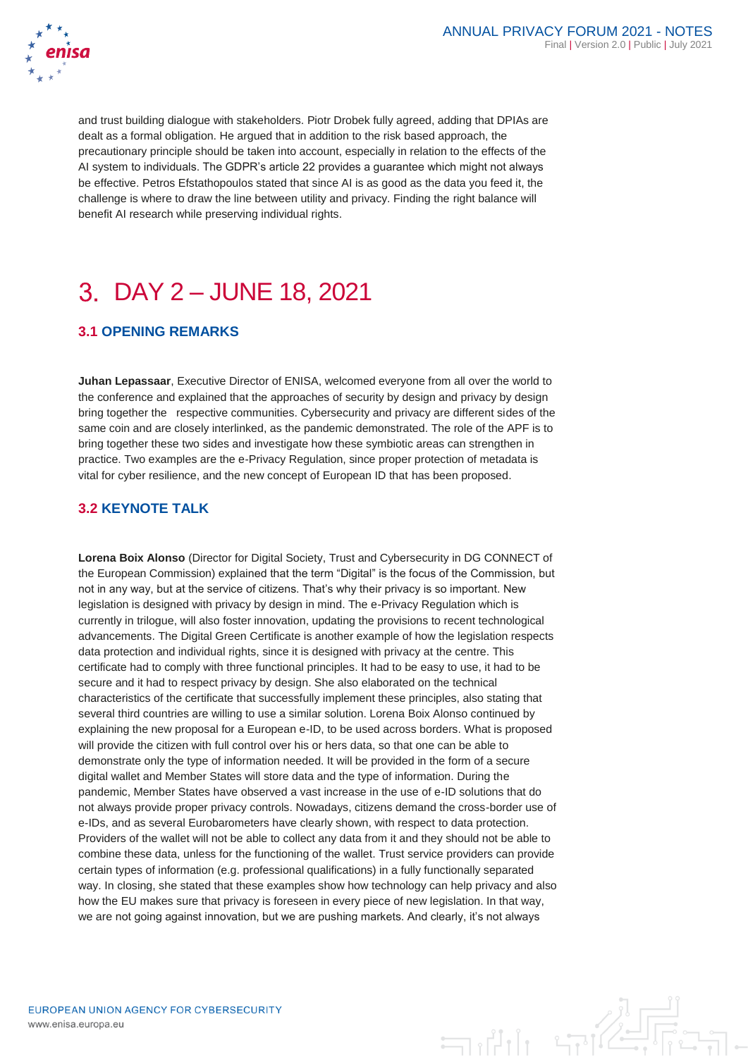

and trust building dialogue with stakeholders. Piotr Drobek fully agreed, adding that DPIAs are dealt as a formal obligation. He argued that in addition to the risk based approach, the precautionary principle should be taken into account, especially in relation to the effects of the AI system to individuals. The GDPR's article 22 provides a guarantee which might not always be effective. Petros Efstathopoulos stated that since AI is as good as the data you feed it, the challenge is where to draw the line between utility and privacy. Finding the right balance will benefit AI research while preserving individual rights.

# DAY 2 – JUNE 18, 2021

### **3.1 OPENING REMARKS**

**Juhan Lepassaar**, Executive Director of ENISA, welcomed everyone from all over the world to the conference and explained that the approaches of security by design and privacy by design bring together the respective communities. Cybersecurity and privacy are different sides of the same coin and are closely interlinked, as the pandemic demonstrated. The role of the APF is to bring together these two sides and investigate how these symbiotic areas can strengthen in practice. Two examples are the e-Privacy Regulation, since proper protection of metadata is vital for cyber resilience, and the new concept of European ID that has been proposed.

### **3.2 KEYNOTE TALK**

**Lorena Boix Alonso** (Director for Digital Society, Trust and Cybersecurity in DG CONNECT of the European Commission) explained that the term "Digital" is the focus of the Commission, but not in any way, but at the service of citizens. That's why their privacy is so important. New legislation is designed with privacy by design in mind. The e-Privacy Regulation which is currently in trilogue, will also foster innovation, updating the provisions to recent technological advancements. The Digital Green Certificate is another example of how the legislation respects data protection and individual rights, since it is designed with privacy at the centre. This certificate had to comply with three functional principles. It had to be easy to use, it had to be secure and it had to respect privacy by design. She also elaborated on the technical characteristics of the certificate that successfully implement these principles, also stating that several third countries are willing to use a similar solution. Lorena Boix Alonso continued by explaining the new proposal for a European e-ID, to be used across borders. What is proposed will provide the citizen with full control over his or hers data, so that one can be able to demonstrate only the type of information needed. It will be provided in the form of a secure digital wallet and Member States will store data and the type of information. During the pandemic, Member States have observed a vast increase in the use of e-ID solutions that do not always provide proper privacy controls. Nowadays, citizens demand the cross-border use of e-IDs, and as several Eurobarometers have clearly shown, with respect to data protection. Providers of the wallet will not be able to collect any data from it and they should not be able to combine these data, unless for the functioning of the wallet. Trust service providers can provide certain types of information (e.g. professional qualifications) in a fully functionally separated way. In closing, she stated that these examples show how technology can help privacy and also how the EU makes sure that privacy is foreseen in every piece of new legislation. In that way, we are not going against innovation, but we are pushing markets. And clearly, it's not always

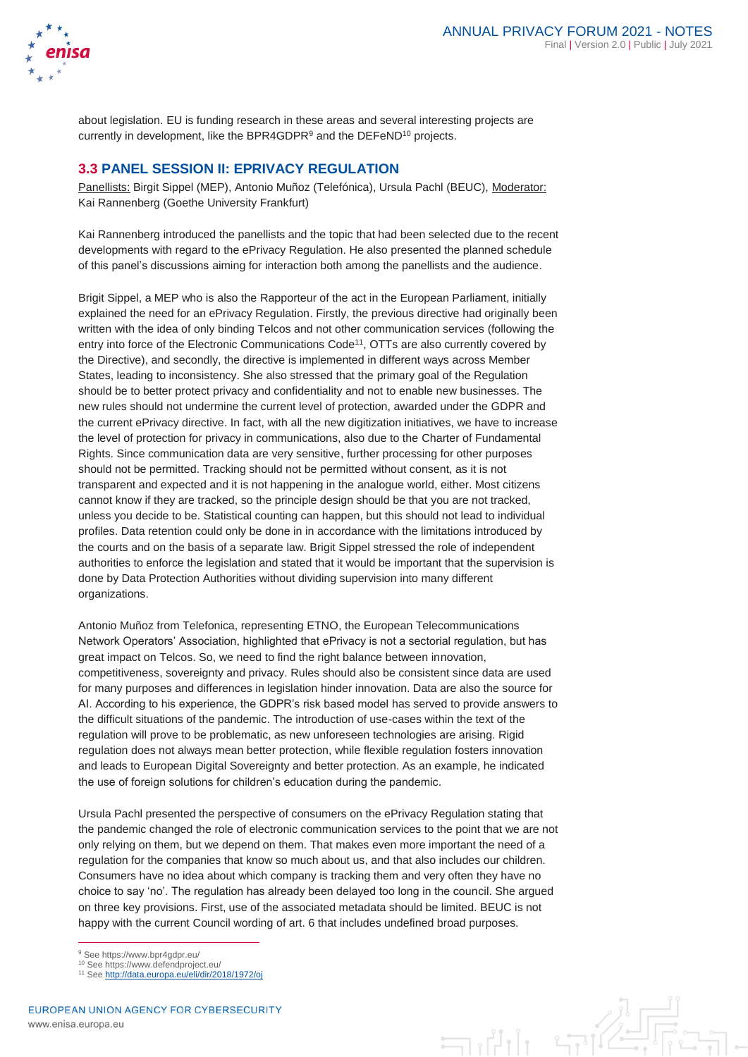

about legislation. EU is funding research in these areas and several interesting projects are currently in development, like the BPR4GDPR<sup>9</sup> and the DEFeND<sup>10</sup> projects.

### **3.3 PANEL SESSION II: EPRIVACY REGULATION**

Panellists: Birgit Sippel (MEP), Antonio Muñoz (Telefónica), Ursula Pachl (BEUC), Moderator: Kai Rannenberg (Goethe University Frankfurt)

Kai Rannenberg introduced the panellists and the topic that had been selected due to the recent developments with regard to the ePrivacy Regulation. He also presented the planned schedule of this panel's discussions aiming for interaction both among the panellists and the audience.

Brigit Sippel, a MEP who is also the Rapporteur of the act in the European Parliament, initially explained the need for an ePrivacy Regulation. Firstly, the previous directive had originally been written with the idea of only binding Telcos and not other communication services (following the entry into force of the Electronic Communications Code<sup>11</sup>, OTTs are also currently covered by the Directive), and secondly, the directive is implemented in different ways across Member States, leading to inconsistency. She also stressed that the primary goal of the Regulation should be to better protect privacy and confidentiality and not to enable new businesses. The new rules should not undermine the current level of protection, awarded under the GDPR and the current ePrivacy directive. In fact, with all the new digitization initiatives, we have to increase the level of protection for privacy in communications, also due to the Charter of Fundamental Rights. Since communication data are very sensitive, further processing for other purposes should not be permitted. Tracking should not be permitted without consent, as it is not transparent and expected and it is not happening in the analogue world, either. Most citizens cannot know if they are tracked, so the principle design should be that you are not tracked, unless you decide to be. Statistical counting can happen, but this should not lead to individual profiles. Data retention could only be done in in accordance with the limitations introduced by the courts and on the basis of a separate law. Brigit Sippel stressed the role of independent authorities to enforce the legislation and stated that it would be important that the supervision is done by Data Protection Authorities without dividing supervision into many different organizations.

Antonio Muñoz from Telefonica, representing ETNO, the European Telecommunications Network Operators' Association, highlighted that ePrivacy is not a sectorial regulation, but has great impact on Telcos. So, we need to find the right balance between innovation, competitiveness, sovereignty and privacy. Rules should also be consistent since data are used for many purposes and differences in legislation hinder innovation. Data are also the source for AI. According to his experience, the GDPR's risk based model has served to provide answers to the difficult situations of the pandemic. The introduction of use-cases within the text of the regulation will prove to be problematic, as new unforeseen technologies are arising. Rigid regulation does not always mean better protection, while flexible regulation fosters innovation and leads to European Digital Sovereignty and better protection. As an example, he indicated the use of foreign solutions for children's education during the pandemic.

Ursula Pachl presented the perspective of consumers on the ePrivacy Regulation stating that the pandemic changed the role of electronic communication services to the point that we are not only relying on them, but we depend on them. That makes even more important the need of a regulation for the companies that know so much about us, and that also includes our children. Consumers have no idea about which company is tracking them and very often they have no choice to say 'no'. The regulation has already been delayed too long in the council. She argued on three key provisions. First, use of the associated metadata should be limited. BEUC is not happy with the current Council wording of art. 6 that includes undefined broad purposes.

<sup>9</sup> See https://www.bpr4gdpr.eu/

- <sup>10</sup> See https://www.defendproject.eu/
- <sup>11</sup> Se[e http://data.europa.eu/eli/dir/2018/1972/oj](http://data.europa.eu/eli/dir/2018/1972/oj)

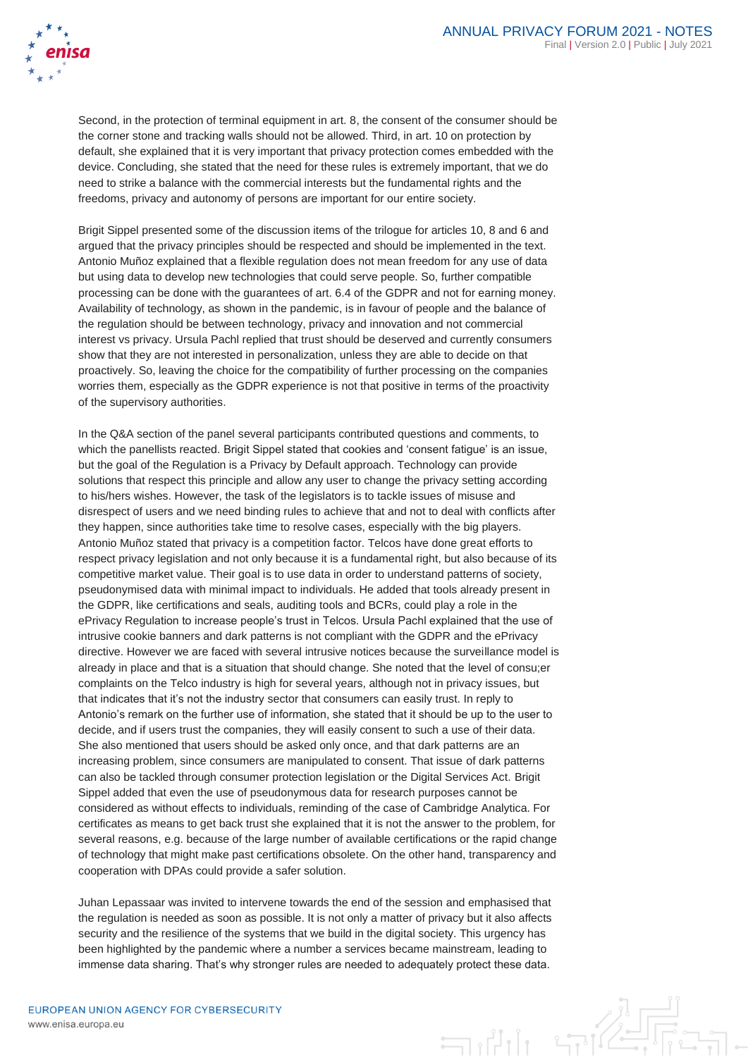

Second, in the protection of terminal equipment in art. 8, the consent of the consumer should be the corner stone and tracking walls should not be allowed. Third, in art. 10 on protection by default, she explained that it is very important that privacy protection comes embedded with the device. Concluding, she stated that the need for these rules is extremely important, that we do need to strike a balance with the commercial interests but the fundamental rights and the freedoms, privacy and autonomy of persons are important for our entire society.

Brigit Sippel presented some of the discussion items of the trilogue for articles 10, 8 and 6 and argued that the privacy principles should be respected and should be implemented in the text. Antonio Muñoz explained that a flexible regulation does not mean freedom for any use of data but using data to develop new technologies that could serve people. So, further compatible processing can be done with the guarantees of art. 6.4 of the GDPR and not for earning money. Availability of technology, as shown in the pandemic, is in favour of people and the balance of the regulation should be between technology, privacy and innovation and not commercial interest vs privacy. Ursula Pachl replied that trust should be deserved and currently consumers show that they are not interested in personalization, unless they are able to decide on that proactively. So, leaving the choice for the compatibility of further processing on the companies worries them, especially as the GDPR experience is not that positive in terms of the proactivity of the supervisory authorities.

In the Q&A section of the panel several participants contributed questions and comments, to which the panellists reacted. Brigit Sippel stated that cookies and 'consent fatigue' is an issue, but the goal of the Regulation is a Privacy by Default approach. Technology can provide solutions that respect this principle and allow any user to change the privacy setting according to his/hers wishes. However, the task of the legislators is to tackle issues of misuse and disrespect of users and we need binding rules to achieve that and not to deal with conflicts after they happen, since authorities take time to resolve cases, especially with the big players. Antonio Muñoz stated that privacy is a competition factor. Telcos have done great efforts to respect privacy legislation and not only because it is a fundamental right, but also because of its competitive market value. Their goal is to use data in order to understand patterns of society, pseudonymised data with minimal impact to individuals. He added that tools already present in the GDPR, like certifications and seals, auditing tools and BCRs, could play a role in the ePrivacy Regulation to increase people's trust in Telcos. Ursula Pachl explained that the use of intrusive cookie banners and dark patterns is not compliant with the GDPR and the ePrivacy directive. However we are faced with several intrusive notices because the surveillance model is already in place and that is a situation that should change. She noted that the level of consu;er complaints on the Telco industry is high for several years, although not in privacy issues, but that indicates that it's not the industry sector that consumers can easily trust. In reply to Antonio's remark on the further use of information, she stated that it should be up to the user to decide, and if users trust the companies, they will easily consent to such a use of their data. She also mentioned that users should be asked only once, and that dark patterns are an increasing problem, since consumers are manipulated to consent. That issue of dark patterns can also be tackled through consumer protection legislation or the Digital Services Act. Brigit Sippel added that even the use of pseudonymous data for research purposes cannot be considered as without effects to individuals, reminding of the case of Cambridge Analytica. For certificates as means to get back trust she explained that it is not the answer to the problem, for several reasons, e.g. because of the large number of available certifications or the rapid change of technology that might make past certifications obsolete. On the other hand, transparency and cooperation with DPAs could provide a safer solution.

Juhan Lepassaar was invited to intervene towards the end of the session and emphasised that the regulation is needed as soon as possible. It is not only a matter of privacy but it also affects security and the resilience of the systems that we build in the digital society. This urgency has been highlighted by the pandemic where a number a services became mainstream, leading to immense data sharing. That's why stronger rules are needed to adequately protect these data.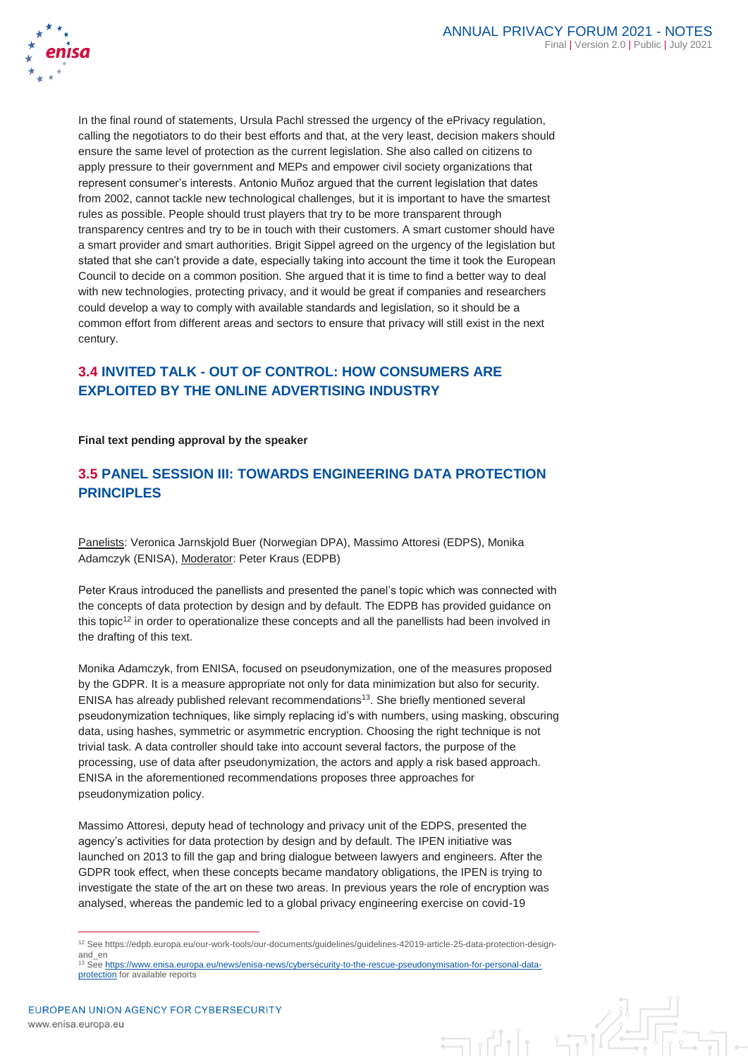

In the final round of statements, Ursula Pachl stressed the urgency of the ePrivacy regulation, calling the negotiators to do their best efforts and that, at the very least, decision makers should ensure the same level of protection as the current legislation. She also called on citizens to apply pressure to their government and MEPs and empower civil society organizations that represent consumer's interests. Antonio Muñoz argued that the current legislation that dates from 2002, cannot tackle new technological challenges, but it is important to have the smartest rules as possible. People should trust players that try to be more transparent through transparency centres and try to be in touch with their customers. A smart customer should have a smart provider and smart authorities. Brigit Sippel agreed on the urgency of the legislation but stated that she can't provide a date, especially taking into account the time it took the European Council to decide on a common position. She argued that it is time to find a better way to deal with new technologies, protecting privacy, and it would be great if companies and researchers could develop a way to comply with available standards and legislation, so it should be a common effort from different areas and sectors to ensure that privacy will still exist in the next century.

# **3.4 INVITED TALK - OUT OF CONTROL: HOW CONSUMERS ARE EXPLOITED BY THE ONLINE ADVERTISING INDUSTRY**

**Final text pending approval by the speaker**

### **3.5 PANEL SESSION III: TOWARDS ENGINEERING DATA PROTECTION PRINCIPLES**

Panelists: Veronica Jarnskjold Buer (Norwegian DPA), Massimo Attoresi (EDPS), Monika Adamczyk (ENISA), Moderator: Peter Kraus (EDPB)

Peter Kraus introduced the panellists and presented the panel's topic which was connected with the concepts of data protection by design and by default. The EDPB has provided guidance on this topic $12$  in order to operationalize these concepts and all the panellists had been involved in the drafting of this text.

Monika Adamczyk, from ENISA, focused on pseudonymization, one of the measures proposed by the GDPR. It is a measure appropriate not only for data minimization but also for security. ENISA has already published relevant recommendations<sup>13</sup>. She briefly mentioned several pseudonymization techniques, like simply replacing id's with numbers, using masking, obscuring data, using hashes, symmetric or asymmetric encryption. Choosing the right technique is not trivial task. A data controller should take into account several factors, the purpose of the processing, use of data after pseudonymization, the actors and apply a risk based approach. ENISA in the aforementioned recommendations proposes three approaches for pseudonymization policy.

Massimo Attoresi, deputy head of technology and privacy unit of the EDPS, presented the agency's activities for data protection by design and by default. The IPEN initiative was launched on 2013 to fill the gap and bring dialogue between lawyers and engineers. After the GDPR took effect, when these concepts became mandatory obligations, the IPEN is trying to investigate the state of the art on these two areas. In previous years the role of encryption was analysed, whereas the pandemic led to a global privacy engineering exercise on covid-19

<sup>12</sup> See https://edpb.europa.eu/our-work-tools/our-documents/guidelines/guidelines-42019-article-25-data-protection-designand\_en

<sup>13</sup> Se[e https://www.enisa.europa.eu/news/enisa-news/cybersecurity-to-the-rescue-pseudonymisation-for-personal-data](https://www.enisa.europa.eu/news/enisa-news/cybersecurity-to-the-rescue-pseudonymisation-for-personal-data-protection)[protection](https://www.enisa.europa.eu/news/enisa-news/cybersecurity-to-the-rescue-pseudonymisation-for-personal-data-protection) for available reports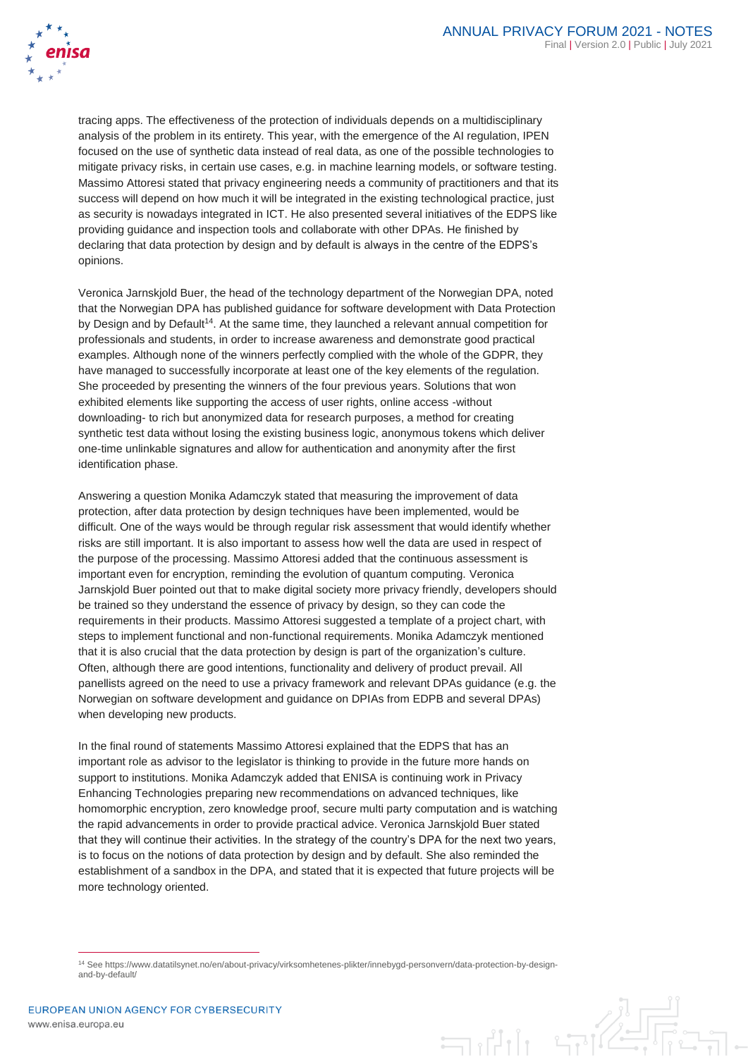

tracing apps. The effectiveness of the protection of individuals depends on a multidisciplinary analysis of the problem in its entirety. This year, with the emergence of the AI regulation, IPEN focused on the use of synthetic data instead of real data, as one of the possible technologies to mitigate privacy risks, in certain use cases, e.g. in machine learning models, or software testing. Massimo Attoresi stated that privacy engineering needs a community of practitioners and that its success will depend on how much it will be integrated in the existing technological practice, just as security is nowadays integrated in ICT. He also presented several initiatives of the EDPS like providing guidance and inspection tools and collaborate with other DPAs. He finished by declaring that data protection by design and by default is always in the centre of the EDPS's opinions.

Veronica Jarnskjold Buer, the head of the technology department of the Norwegian DPA, noted that the Norwegian DPA has published guidance for software development with Data Protection by Design and by Default<sup>14</sup>. At the same time, they launched a relevant annual competition for professionals and students, in order to increase awareness and demonstrate good practical examples. Although none of the winners perfectly complied with the whole of the GDPR, they have managed to successfully incorporate at least one of the key elements of the regulation. She proceeded by presenting the winners of the four previous years. Solutions that won exhibited elements like supporting the access of user rights, online access -without downloading- to rich but anonymized data for research purposes, a method for creating synthetic test data without losing the existing business logic, anonymous tokens which deliver one-time unlinkable signatures and allow for authentication and anonymity after the first identification phase.

Answering a question Monika Adamczyk stated that measuring the improvement of data protection, after data protection by design techniques have been implemented, would be difficult. One of the ways would be through regular risk assessment that would identify whether risks are still important. It is also important to assess how well the data are used in respect of the purpose of the processing. Massimo Attoresi added that the continuous assessment is important even for encryption, reminding the evolution of quantum computing. Veronica Jarnskjold Buer pointed out that to make digital society more privacy friendly, developers should be trained so they understand the essence of privacy by design, so they can code the requirements in their products. Massimo Attoresi suggested a template of a project chart, with steps to implement functional and non-functional requirements. Monika Adamczyk mentioned that it is also crucial that the data protection by design is part of the organization's culture. Often, although there are good intentions, functionality and delivery of product prevail. All panellists agreed on the need to use a privacy framework and relevant DPAs guidance (e.g. the Norwegian on software development and guidance on DPIAs from EDPB and several DPAs) when developing new products.

In the final round of statements Massimo Attoresi explained that the EDPS that has an important role as advisor to the legislator is thinking to provide in the future more hands on support to institutions. Monika Adamczyk added that ENISA is continuing work in Privacy Enhancing Technologies preparing new recommendations on advanced techniques, like homomorphic encryption, zero knowledge proof, secure multi party computation and is watching the rapid advancements in order to provide practical advice. Veronica Jarnskjold Buer stated that they will continue their activities. In the strategy of the country's DPA for the next two years, is to focus on the notions of data protection by design and by default. She also reminded the establishment of a sandbox in the DPA, and stated that it is expected that future projects will be more technology oriented.



<sup>14</sup> See https://www.datatilsynet.no/en/about-privacy/virksomhetenes-plikter/innebygd-personvern/data-protection-by-designand-by-default/